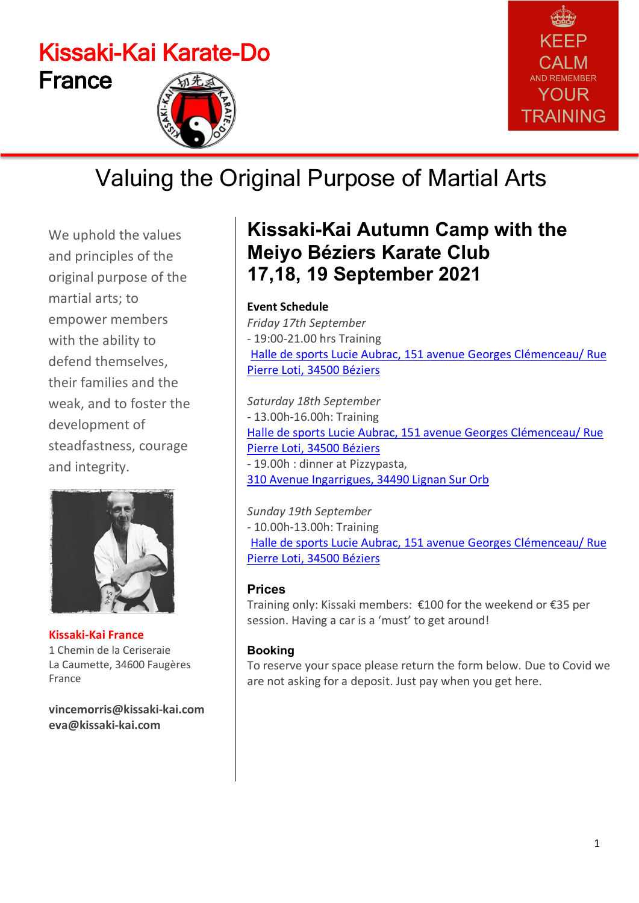# Kissaki-Kai Karate-Do France





# Valuing the Original Purpose of Martial Arts

We uphold the values and principles of the original purpose of the martial arts; to empower members with the ability to defend themselves, their families and the weak, and to foster the development of steadfastness, courage and integrity.



**Kissaki-Kai France** 1 Chemin de la Ceriseraie La Caumette, 34600 Faugères France

**[vincemorris@kissaki-kai.com](mailto:vincemorris@kissaki-kai.com) [eva@kissaki-kai.com](mailto:eva@kissaki-kai.com)**

### **Kissaki-Kai Autumn Camp with the Meiyo Béziers Karate Club 17,18, 19 September 2021**

### **Event Schedule**

*Friday 17th September* - 19:00-21.00 hrs Training Halle de sports Lucie Aubrac, [151 avenue Georges Clémenceau/ Rue](https://www.google.com/maps/place/Meiyo+Beziers+Karate+Trot+Gerard/@43.3517776,3.2201808,17z/data=!4m8!1m2!2m1!1sHalle+de+sports+Lucie+Aubrac,+171+avenue+Georges+Cl%C3%A9menceau,+34500+B%C3%A9ziers!3m4!1s0x12b10e634a531e2b:0x18fa362f0bcced4a!8m2!3d43.3515902!4d3.2220679)  Pierre Loti, [34500 Béziers](https://www.google.com/maps/place/Meiyo+Beziers+Karate+Trot+Gerard/@43.3517776,3.2201808,17z/data=!4m8!1m2!2m1!1sHalle+de+sports+Lucie+Aubrac,+171+avenue+Georges+Cl%C3%A9menceau,+34500+B%C3%A9ziers!3m4!1s0x12b10e634a531e2b:0x18fa362f0bcced4a!8m2!3d43.3515902!4d3.2220679)

*Saturday 18th September* - 13.00h-16.00h: Training Halle de sports Lucie Aubrac, [151 avenue Georges Clémenceau/ Rue](https://www.google.com/maps/place/Meiyo+Beziers+Karate+Trot+Gerard/@43.3517776,3.2201808,17z/data=!4m8!1m2!2m1!1sHalle+de+sports+Lucie+Aubrac,+171+avenue+Georges+Cl%C3%A9menceau,+34500+B%C3%A9ziers!3m4!1s0x12b10e634a531e2b:0x18fa362f0bcced4a!8m2!3d43.3515902!4d3.2220679)  Pierre Loti, [34500 Béziers](https://www.google.com/maps/place/Meiyo+Beziers+Karate+Trot+Gerard/@43.3517776,3.2201808,17z/data=!4m8!1m2!2m1!1sHalle+de+sports+Lucie+Aubrac,+171+avenue+Georges+Cl%C3%A9menceau,+34500+B%C3%A9ziers!3m4!1s0x12b10e634a531e2b:0x18fa362f0bcced4a!8m2!3d43.3515902!4d3.2220679) - 19.00h : dinner at Pizzypasta, [310 Avenue Ingarrigues, 34490 Lignan](https://www.google.com/maps/place/310+Avenue+Ingarrigues,+34490+Lignan-sur-Orb,+Frankrijk/@43.3792815,3.172659,17z/data=!3m1!4b1!4m5!3m4!1s0x12b10bf45af92643:0x3e22cb36a5787f63!8m2!3d43.3792776!4d3.1748477) Sur Orb

*Sunday 19th September* - 10.00h-13.00h: Training Halle de sports Lucie Aubrac, [151 avenue Georges Clémenceau/ Rue](https://www.google.com/maps/place/Meiyo+Beziers+Karate+Trot+Gerard/@43.3517776,3.2201808,17z/data=!4m8!1m2!2m1!1sHalle+de+sports+Lucie+Aubrac,+171+avenue+Georges+Cl%C3%A9menceau,+34500+B%C3%A9ziers!3m4!1s0x12b10e634a531e2b:0x18fa362f0bcced4a!8m2!3d43.3515902!4d3.2220679)  Pierre Loti, [34500 Béziers](https://www.google.com/maps/place/Meiyo+Beziers+Karate+Trot+Gerard/@43.3517776,3.2201808,17z/data=!4m8!1m2!2m1!1sHalle+de+sports+Lucie+Aubrac,+171+avenue+Georges+Cl%C3%A9menceau,+34500+B%C3%A9ziers!3m4!1s0x12b10e634a531e2b:0x18fa362f0bcced4a!8m2!3d43.3515902!4d3.2220679)

#### **Prices**

Training only: Kissaki members: €100 for the weekend or €35 per session. Having a car is a 'must' to get around!

#### **Booking**

To reserve your space please return the form below. Due to Covid we are not asking for a deposit. Just pay when you get here.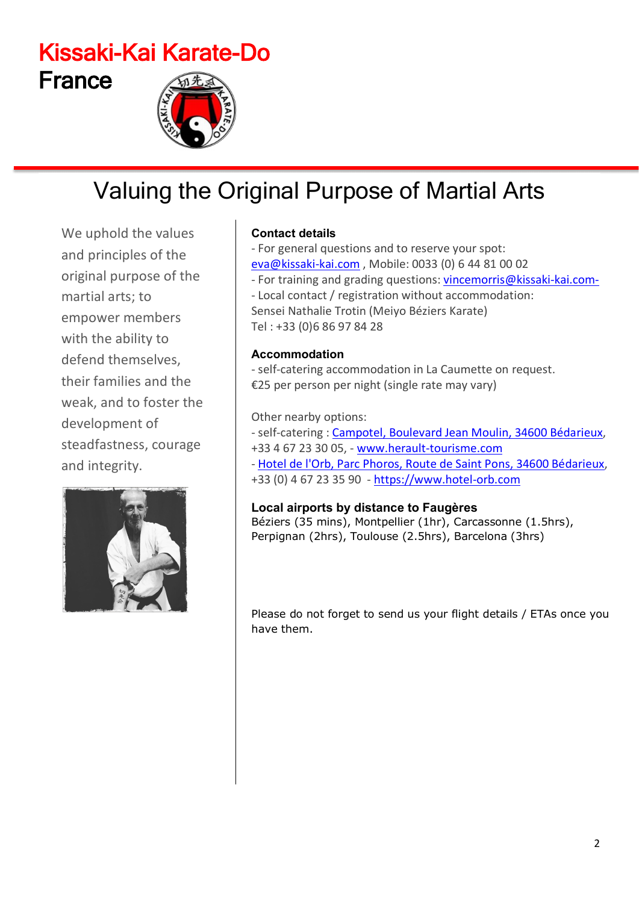# Kissaki-Kai Karate-Do France

# Valuing the Original Purpose of Martial Arts

We uphold the values and principles of the original purpose of the martial arts; to empower members with the ability to defend themselves, their families and the weak, and to foster the development of steadfastness, courage and integrity.



### **Contact details**

- For general questions and to reserve your spot: [eva@kissaki-kai.com](mailto:eva@kissaki-kai.com) , Mobile: 0033 (0) 6 44 81 00 02 - For training and grading questions: [vincemorris@kissaki-kai.com-](mailto:vincemorris@kissaki-kai.com-) - Local contact / registration without accommodation: Sensei Nathalie Trotin (Meiyo Béziers Karate) Tel : +33 (0)6 86 97 84 28

### **Accommodation**

- self-catering accommodation in La Caumette on request. €25 per person per night (single rate may vary)

#### Other nearby options:

- self-catering : Campotel, [Boulevard Jean Moulin, 34600 Bédarieux,](https://www.google.com/maps/place/Villages+Vacances+%C3%80+Bedarieux/@43.6131859,3.1529804,17z/data=!3m1!4b1!4m5!3m4!1s0x12b179c081a4269f:0xc69add0d237f4c2b!8m2!3d43.613182!4d3.1551691) +33 4 67 23 30 05, - [www.herault-tourisme.com](http://www.herault-tourisme.com/)

- [Hotel de l'Orb, Parc Phoros, Route de Saint Pons, 34600 Bédarieux,](https://www.google.com/search?q=Hotel+de+l%27Orb%2C+Parc+Phoros%2C+Route+de+Saint+Pons%2C+34600+B%C3%A9darieux&rlz=1C1GCEA_enBE828BE828&oq=Hotel+de+l%27Orb%2C+Parc+Phoros%2C+Route+de+Saint+Pons%2C+34600+B%C3%A9darieux&aqs=chrome..69i57.1315j0j4&sourceid=chrome&ie=UTF-8) +33 (0) 4 67 23 35 90 - [https://www.hotel-orb.com](https://www.hotel-orb.com/)

### **Local airports by distance to Faugères**

Béziers (35 mins), Montpellier (1hr), Carcassonne (1.5hrs), Perpignan (2hrs), Toulouse (2.5hrs), Barcelona (3hrs)

Please do not forget to send us your flight details / ETAs once you have them.